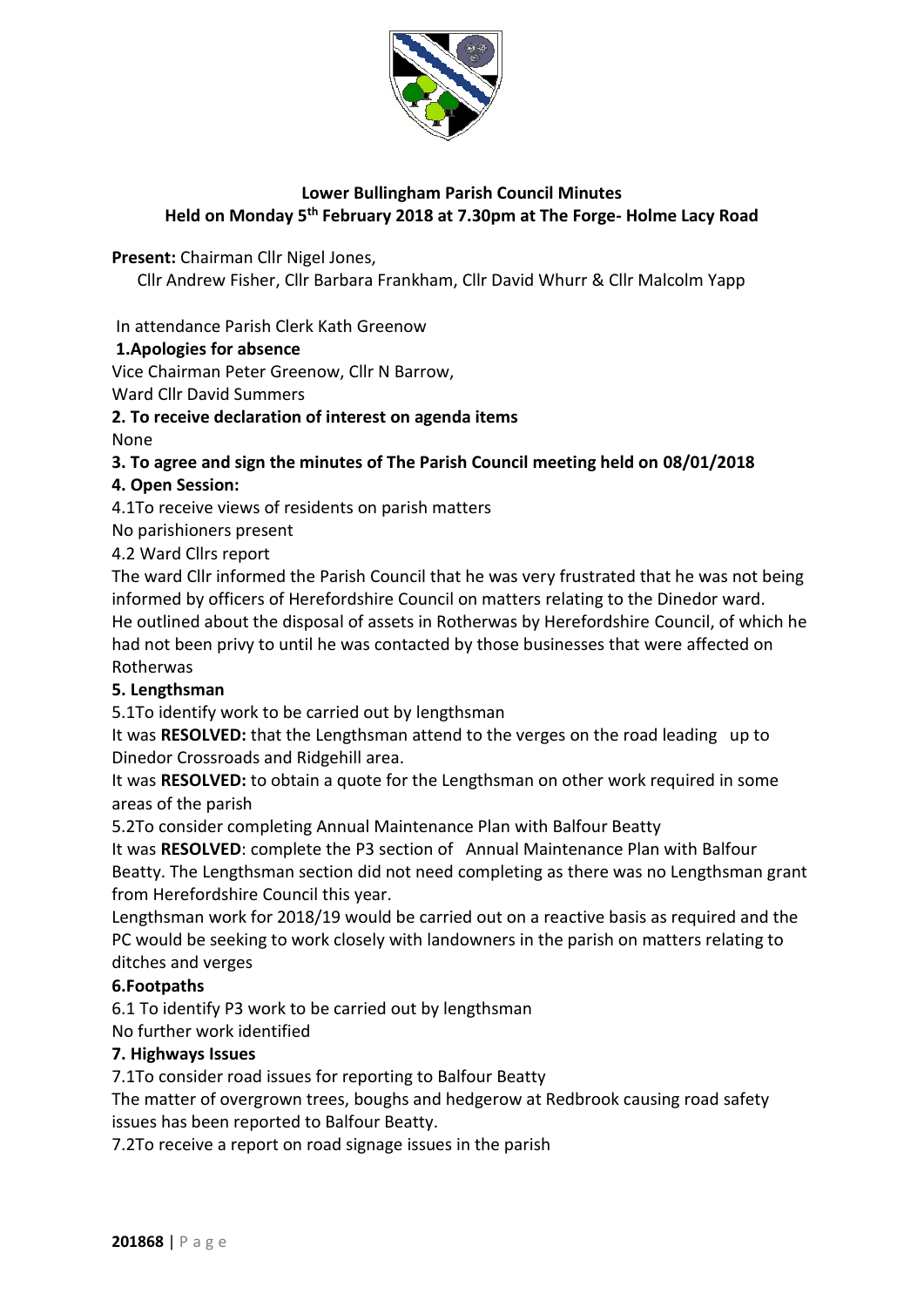

### **Lower Bullingham Parish Council Minutes Held on Monday 5 th February 2018 at 7.30pm at The Forge- Holme Lacy Road**

**Present:** Chairman Cllr Nigel Jones,

Cllr Andrew Fisher, Cllr Barbara Frankham, Cllr David Whurr & Cllr Malcolm Yapp

In attendance Parish Clerk Kath Greenow

### **1.Apologies for absence**

Vice Chairman Peter Greenow, Cllr N Barrow,

Ward Cllr David Summers

# **2. To receive declaration of interest on agenda items**

None

# **3. To agree and sign the minutes of The Parish Council meeting held on 08/01/2018**

### **4. Open Session:**

4.1To receive views of residents on parish matters

No parishioners present

4.2 Ward Cllrs report

The ward Cllr informed the Parish Council that he was very frustrated that he was not being informed by officers of Herefordshire Council on matters relating to the Dinedor ward. He outlined about the disposal of assets in Rotherwas by Herefordshire Council, of which he had not been privy to until he was contacted by those businesses that were affected on Rotherwas

# **5. Lengthsman**

5.1To identify work to be carried out by lengthsman

It was **RESOLVED:** that the Lengthsman attend to the verges on the road leading up to Dinedor Crossroads and Ridgehill area.

It was **RESOLVED:** to obtain a quote for the Lengthsman on other work required in some areas of the parish

5.2To consider completing Annual Maintenance Plan with Balfour Beatty

It was **RESOLVED**: complete the P3 section of Annual Maintenance Plan with Balfour Beatty. The Lengthsman section did not need completing as there was no Lengthsman grant from Herefordshire Council this year.

Lengthsman work for 2018/19 would be carried out on a reactive basis as required and the PC would be seeking to work closely with landowners in the parish on matters relating to ditches and verges

### **6.Footpaths**

6.1 To identify P3 work to be carried out by lengthsman

No further work identified

### **7. Highways Issues**

7.1To consider road issues for reporting to Balfour Beatty

The matter of overgrown trees, boughs and hedgerow at Redbrook causing road safety issues has been reported to Balfour Beatty.

7.2To receive a report on road signage issues in the parish